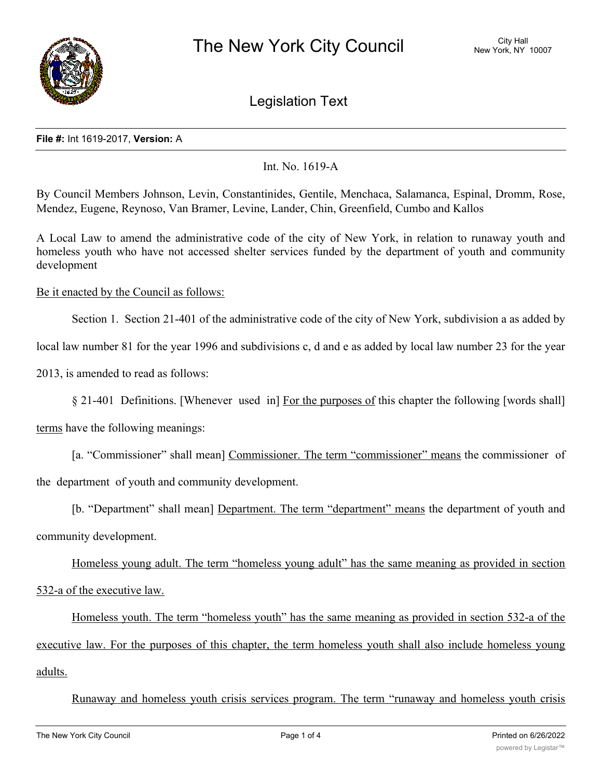

Legislation Text

## **File #:** Int 1619-2017, **Version:** A

# Int. No. 1619-A

By Council Members Johnson, Levin, Constantinides, Gentile, Menchaca, Salamanca, Espinal, Dromm, Rose, Mendez, Eugene, Reynoso, Van Bramer, Levine, Lander, Chin, Greenfield, Cumbo and Kallos

A Local Law to amend the administrative code of the city of New York, in relation to runaway youth and homeless youth who have not accessed shelter services funded by the department of youth and community development

# Be it enacted by the Council as follows:

Section 1. Section 21-401 of the administrative code of the city of New York, subdivision a as added by

local law number 81 for the year 1996 and subdivisions c, d and e as added by local law number 23 for the year

2013, is amended to read as follows:

terms have the following meanings:

[a. "Commissioner" shall mean] Commissioner. The term "commissioner" means the commissioner of the department of youth and community development.

[b. "Department" shall mean] Department. The term "department" means the department of youth and community development.

Homeless young adult. The term "homeless young adult" has the same meaning as provided in section 532-a of the executive law.

Homeless youth. The term "homeless youth" has the same meaning as provided in section 532-a of the executive law. For the purposes of this chapter, the term homeless youth shall also include homeless young adults.

Runaway and homeless youth crisis services program. The term "runaway and homeless youth crisis

<sup>§</sup> 21-401 Definitions. [Whenever used in] For the purposes of this chapter the following [words shall]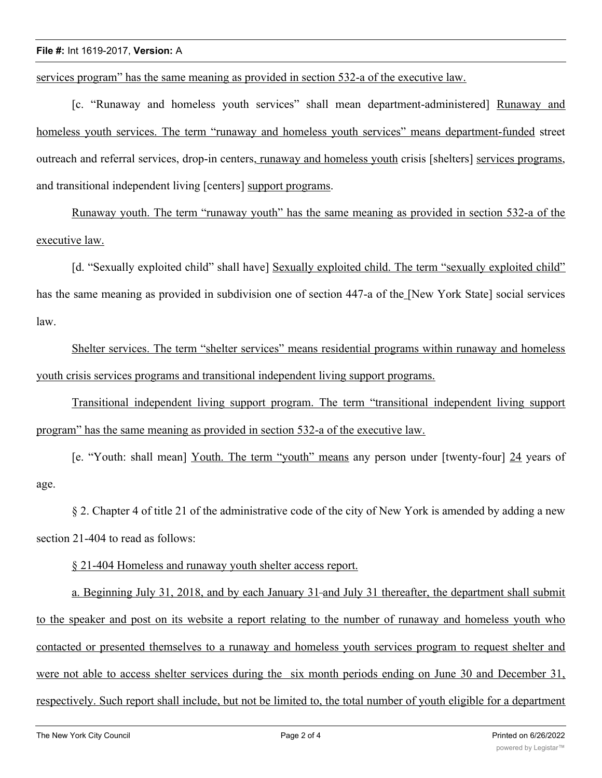#### **File #:** Int 1619-2017, **Version:** A

services program" has the same meaning as provided in section 532-a of the executive law.

[c. "Runaway and homeless youth services" shall mean department-administered] Runaway and homeless youth services. The term "runaway and homeless youth services" means department-funded street outreach and referral services, drop-in centers, runaway and homeless youth crisis [shelters] services programs, and transitional independent living [centers] support programs.

Runaway youth. The term "runaway youth" has the same meaning as provided in section 532-a of the executive law.

[d. "Sexually exploited child" shall have] Sexually exploited child. The term "sexually exploited child" has the same meaning as provided in subdivision one of section 447-a of the [New York State] social services law.

Shelter services. The term "shelter services" means residential programs within runaway and homeless youth crisis services programs and transitional independent living support programs.

Transitional independent living support program. The term "transitional independent living support program" has the same meaning as provided in section 532-a of the executive law.

[e. "Youth: shall mean] Youth. The term "youth" means any person under [twenty-four] 24 years of age.

§ 2. Chapter 4 of title 21 of the administrative code of the city of New York is amended by adding a new section 21-404 to read as follows:

§ 21-404 Homeless and runaway youth shelter access report.

a. Beginning July 31, 2018, and by each January 31-and July 31 thereafter, the department shall submit to the speaker and post on its website a report relating to the number of runaway and homeless youth who contacted or presented themselves to a runaway and homeless youth services program to request shelter and were not able to access shelter services during the six month periods ending on June 30 and December 31, respectively. Such report shall include, but not be limited to, the total number of youth eligible for a department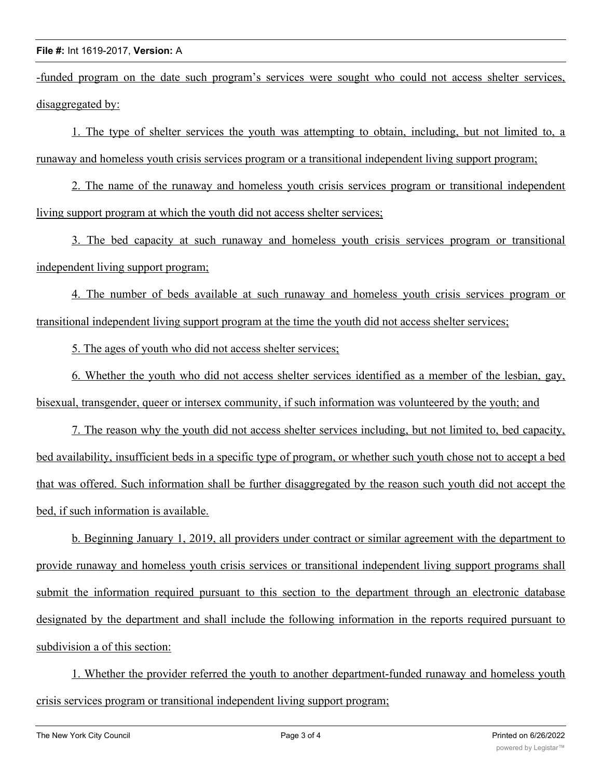## **File #:** Int 1619-2017, **Version:** A

-funded program on the date such program's services were sought who could not access shelter services, disaggregated by:

1. The type of shelter services the youth was attempting to obtain, including, but not limited to, a runaway and homeless youth crisis services program or a transitional independent living support program;

2. The name of the runaway and homeless youth crisis services program or transitional independent living support program at which the youth did not access shelter services;

3. The bed capacity at such runaway and homeless youth crisis services program or transitional independent living support program;

4. The number of beds available at such runaway and homeless youth crisis services program or transitional independent living support program at the time the youth did not access shelter services;

5. The ages of youth who did not access shelter services;

6. Whether the youth who did not access shelter services identified as a member of the lesbian, gay, bisexual, transgender, queer or intersex community, if such information was volunteered by the youth; and

7. The reason why the youth did not access shelter services including, but not limited to, bed capacity, bed availability, insufficient beds in a specific type of program, or whether such youth chose not to accept a bed that was offered. Such information shall be further disaggregated by the reason such youth did not accept the bed, if such information is available.

b. Beginning January 1, 2019, all providers under contract or similar agreement with the department to provide runaway and homeless youth crisis services or transitional independent living support programs shall submit the information required pursuant to this section to the department through an electronic database designated by the department and shall include the following information in the reports required pursuant to subdivision a of this section:

1. Whether the provider referred the youth to another department-funded runaway and homeless youth crisis services program or transitional independent living support program;